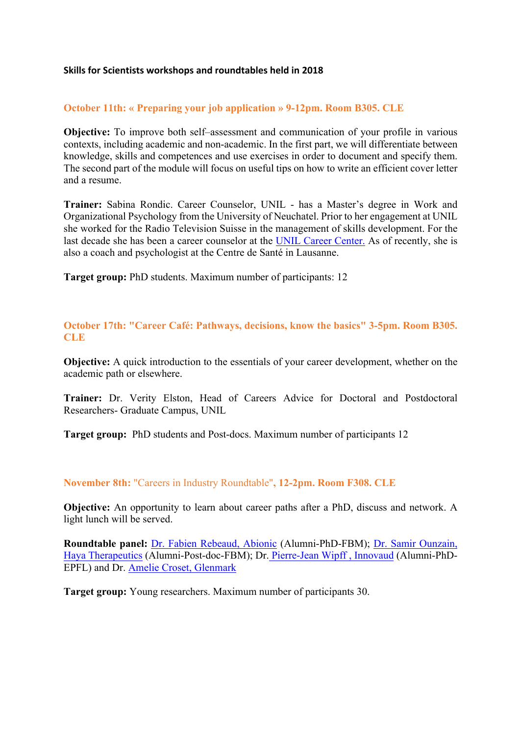## **Skills for Scientists workshops and roundtables held in 2018**

## **October 11th: « Preparing your job application » 9-12pm. Room B305. CLE**

**Objective:** To improve both self–assessment and communication of your profile in various contexts, including academic and non-academic. In the first part, we will differentiate between knowledge, skills and competences and use exercises in order to document and specify them. The second part of the module will focus on useful tips on how to write an efficient cover letter and a resume.

**Trainer:** Sabina Rondic. Career Counselor, UNIL - has a Master's degree in Work and Organizational Psychology from the University of Neuchatel. Prior to her engagement at UNIL she worked for the Radio Television Suisse in the management of skills development. For the last decade she has been a career counselor at the UNIL Career Center. As of recently, she is also a coach and psychologist at the Centre de Santé in Lausanne.

**Target group:** PhD students. Maximum number of participants: 12

**October 17th: "Career Café: Pathways, decisions, know the basics" 3-5pm. Room B305. CLE**

**Objective:** A quick introduction to the essentials of your career development, whether on the academic path or elsewhere.

**Trainer:** Dr. Verity Elston, Head of Careers Advice for Doctoral and Postdoctoral Researchers- Graduate Campus, UNIL

**Target group:** PhD students and Post-docs. Maximum number of participants 12

## **November 8th:** "Careers in Industry Roundtable"**, 12-2pm. Room F308. CLE**

**Objective:** An opportunity to learn about career paths after a PhD, discuss and network. A light lunch will be served.

**Roundtable panel:** Dr. Fabien Rebeaud, Abionic (Alumni-PhD-FBM); Dr. Samir Ounzain, Haya Therapeutics (Alumni-Post-doc-FBM); Dr. Pierre-Jean Wipff , Innovaud (Alumni-PhD-EPFL) and Dr. Amelie Croset, Glenmark

**Target group:** Young researchers. Maximum number of participants 30.